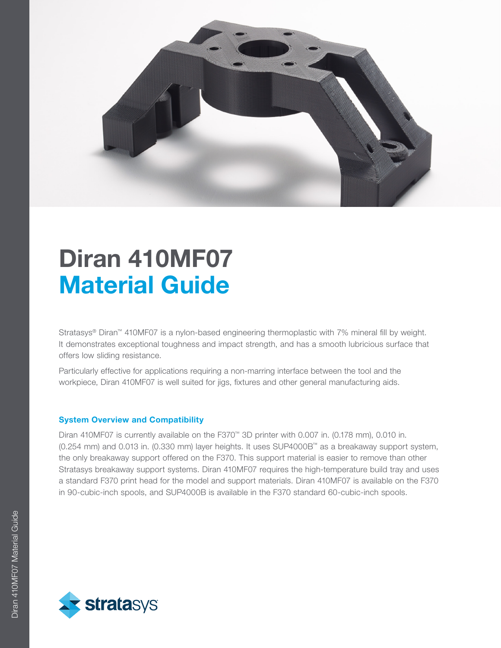

# Diran 410MF07 Material Guide

Stratasys® Diran™ 410MF07 is a nylon-based engineering thermoplastic with 7% mineral fill by weight. It demonstrates exceptional toughness and impact strength, and has a smooth lubricious surface that offers low sliding resistance.

Particularly effective for applications requiring a non-marring interface between the tool and the workpiece, Diran 410MF07 is well suited for jigs, fixtures and other general manufacturing aids.

# System Overview and Compatibility

Diran 410MF07 is currently available on the F370™ 3D printer with 0.007 in. (0.178 mm), 0.010 in. (0.254 mm) and 0.013 in. (0.330 mm) layer heights. It uses SUP4000B™ as a breakaway support system, the only breakaway support offered on the F370. This support material is easier to remove than other Stratasys breakaway support systems. Diran 410MF07 requires the high-temperature build tray and uses a standard F370 print head for the model and support materials. Diran 410MF07 is available on the F370 in 90-cubic-inch spools, and SUP4000B is available in the F370 standard 60-cubic-inch spools.

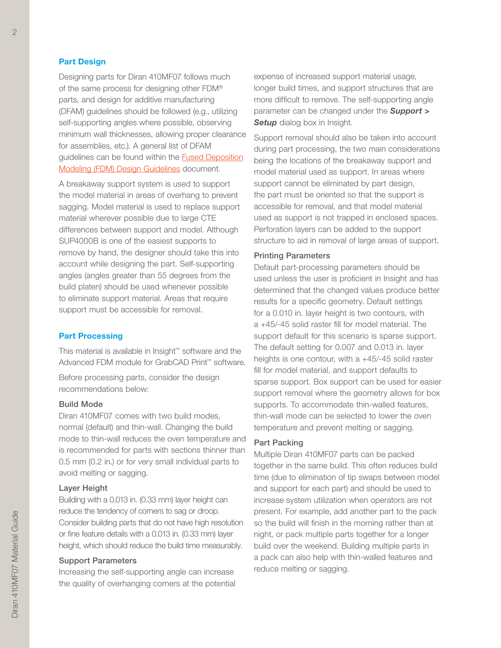## Part Design

Designing parts for Diran 410MF07 follows much of the same process for designing other FDM® parts, and design for additive manufacturing (DFAM) guidelines should be followed (e.g., utilizing self-supporting angles where possible, observing minimum wall thicknesses, allowing proper clearance for assemblies, etc.). A general list of DFAM guidelines can be found within the [Fused Deposition](https://www.stratasysdirect.com/resources/design-guidelines/fused-deposition-modeling) [Modeling \(FDM\) Design Guidelines](https://www.stratasysdirect.com/resources/design-guidelines/fused-deposition-modeling) document.

A breakaway support system is used to support the model material in areas of overhang to prevent sagging. Model material is used to replace support material wherever possible due to large CTE differences between support and model. Although SUP4000B is one of the easiest supports to remove by hand, the designer should take this into account while designing the part. Self-supporting angles (angles greater than 55 degrees from the build platen) should be used whenever possible to eliminate support material. Areas that require support must be accessible for removal.

#### Part Processing

This material is available in Insight™ software and the Advanced FDM module for GrabCAD Print™ software.

Before processing parts, consider the design recommendations below:

## Build Mode

Diran 410MF07 comes with two build modes, normal (default) and thin-wall. Changing the build mode to thin-wall reduces the oven temperature and is recommended for parts with sections thinner than 0.5 mm (0.2 in.) or for very small individual parts to avoid melting or sagging.

#### Layer Height

Building with a 0.013 in. (0.33 mm) layer height can reduce the tendency of corners to sag or droop. Consider building parts that do not have high resolution or fine feature details with a 0.013 in. (0.33 mm) layer height, which should reduce the build time measurably.

### Support Parameters

Increasing the self-supporting angle can increase the quality of overhanging corners at the potential expense of increased support material usage, longer build times, and support structures that are more difficult to remove. The self-supporting angle parameter can be changed under the *Support >*  **Setup** dialog box in Insight.

Support removal should also be taken into account during part processing, the two main considerations being the locations of the breakaway support and model material used as support. In areas where support cannot be eliminated by part design, the part must be oriented so that the support is accessible for removal, and that model material used as support is not trapped in enclosed spaces. Perforation layers can be added to the support structure to aid in removal of large areas of support.

## Printing Parameters

Default part-processing parameters should be used unless the user is proficient in Insight and has determined that the changed values produce better results for a specific geometry. Default settings for a 0.010 in. layer height is two contours, with a +45/-45 solid raster fill for model material. The support default for this scenario is sparse support. The default setting for 0.007 and 0.013 in. layer heights is one contour, with a +45/-45 solid raster fill for model material, and support defaults to sparse support. Box support can be used for easier support removal where the geometry allows for box supports. To accommodate thin-walled features, thin-wall mode can be selected to lower the oven temperature and prevent melting or sagging.

## Part Packing

Multiple Diran 410MF07 parts can be packed together in the same build. This often reduces build time (due to elimination of tip swaps between model and support for each part) and should be used to increase system utilization when operators are not present. For example, add another part to the pack so the build will finish in the morning rather than at night, or pack multiple parts together for a longer build over the weekend. Building multiple parts in a pack can also help with thin-walled features and reduce melting or sagging.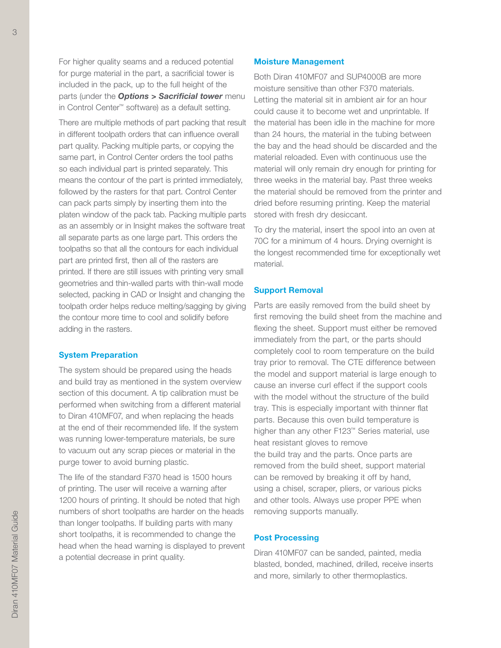For higher quality seams and a reduced potential for purge material in the part, a sacrificial tower is included in the pack, up to the full height of the parts (under the *Options > Sacrificial tower* menu in Control Center™ software) as a default setting.

There are multiple methods of part packing that result in different toolpath orders that can influence overall part quality. Packing multiple parts, or copying the same part, in Control Center orders the tool paths so each individual part is printed separately. This means the contour of the part is printed immediately, followed by the rasters for that part. Control Center can pack parts simply by inserting them into the platen window of the pack tab. Packing multiple parts as an assembly or in Insight makes the software treat all separate parts as one large part. This orders the toolpaths so that all the contours for each individual part are printed first, then all of the rasters are printed. If there are still issues with printing very small geometries and thin-walled parts with thin-wall mode selected, packing in CAD or Insight and changing the toolpath order helps reduce melting/sagging by giving the contour more time to cool and solidify before adding in the rasters.

## System Preparation

The system should be prepared using the heads and build tray as mentioned in the system overview section of this document. A tip calibration must be performed when switching from a different material to Diran 410MF07, and when replacing the heads at the end of their recommended life. If the system was running lower-temperature materials, be sure to vacuum out any scrap pieces or material in the purge tower to avoid burning plastic.

The life of the standard F370 head is 1500 hours of printing. The user will receive a warning after 1200 hours of printing. It should be noted that high numbers of short toolpaths are harder on the heads than longer toolpaths. If building parts with many short toolpaths, it is recommended to change the head when the head warning is displayed to prevent a potential decrease in print quality.

#### Moisture Management

Both Diran 410MF07 and SUP4000B are more moisture sensitive than other F370 materials. Letting the material sit in ambient air for an hour could cause it to become wet and unprintable. If the material has been idle in the machine for more than 24 hours, the material in the tubing between the bay and the head should be discarded and the material reloaded. Even with continuous use the material will only remain dry enough for printing for three weeks in the material bay. Past three weeks the material should be removed from the printer and dried before resuming printing. Keep the material stored with fresh dry desiccant.

To dry the material, insert the spool into an oven at 70C for a minimum of 4 hours. Drying overnight is the longest recommended time for exceptionally wet material.

### Support Removal

Parts are easily removed from the build sheet by first removing the build sheet from the machine and flexing the sheet. Support must either be removed immediately from the part, or the parts should completely cool to room temperature on the build tray prior to removal. The CTE difference between the model and support material is large enough to cause an inverse curl effect if the support cools with the model without the structure of the build tray. This is especially important with thinner flat parts. Because this oven build temperature is higher than any other F123™ Series material, use heat resistant gloves to remove the build tray and the parts. Once parts are removed from the build sheet, support material can be removed by breaking it off by hand, using a chisel, scraper, pliers, or various picks and other tools. Always use proper PPE when removing supports manually.

### Post Processing

Diran 410MF07 can be sanded, painted, media blasted, bonded, machined, drilled, receive inserts and more, similarly to other thermoplastics.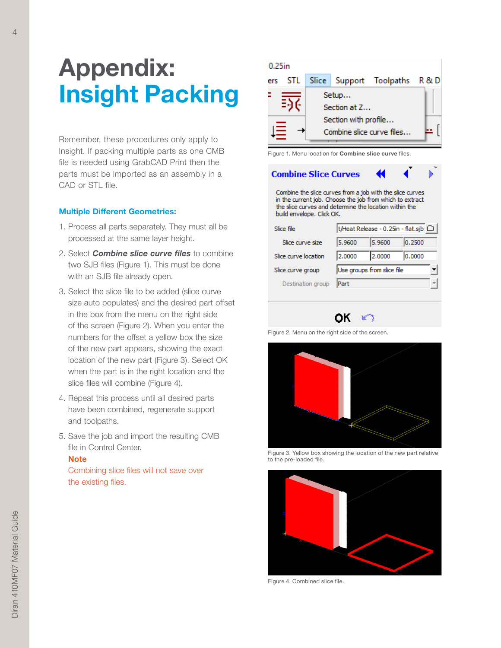# Appendix: Insight Packing

Remember, these procedures only apply to Insight. If packing multiple parts as one CMB file is needed using GrabCAD Print then the parts must be imported as an assembly in a CAD or STL file.

## Multiple Different Geometries:

- 1. Process all parts separately. They must all be processed at the same layer height.
- 2. Select *Combine slice curve files* to combine two SJB files (Figure 1). This must be done with an SJB file already open.
- 3. Select the slice file to be added (slice curve size auto populates) and the desired part offset in the box from the menu on the right side of the screen (Figure 2). When you enter the numbers for the offset a yellow box the size of the new part appears, showing the exact location of the new part (Figure 3). Select OK when the part is in the right location and the slice files will combine (Figure 4).
- 4. Repeat this process until all desired parts have been combined, regenerate support and toolpaths.
- 5. Save the job and import the resulting CMB file in Control Center.

## **Note**

Combining slice files will not save over the existing files.

| $0.25$ in |  |                      |              |                                 |  |  |  |
|-----------|--|----------------------|--------------|---------------------------------|--|--|--|
| ers       |  |                      |              | STL Slice Support Toolpaths R&D |  |  |  |
|           |  |                      | Setup        |                                 |  |  |  |
|           |  |                      | Section at Z |                                 |  |  |  |
|           |  | Section with profile |              |                                 |  |  |  |
|           |  |                      |              | Combine slice curve files       |  |  |  |

Figure 1. Menu location for **Combine slice curve** files.

**Combine Slice Curves** 

Combine the slice curves from a job with the slice curves in the current job. Choose the job from which to extract the slice curves and determine the location within the build envelope. Click OK.

| Slice file           | t/Heat Release - 0.25in - flat.sjb   □ |        |        |              |
|----------------------|----------------------------------------|--------|--------|--------------|
| Slice curve size     | 5.9600                                 | 5.9600 | 0.2500 |              |
| Slice curve location | 2.0000                                 | 2.0000 | 0.0000 |              |
| Slice curve group    | Use groups from slice file             |        |        |              |
| Destination group    | Part                                   |        |        | $\checkmark$ |

OK \*

Figure 2. Menu on the right side of the screen.



Figure 3. Yellow box showing the location of the new part relative to the pre-loaded file.



Figure 4. Combined slice file.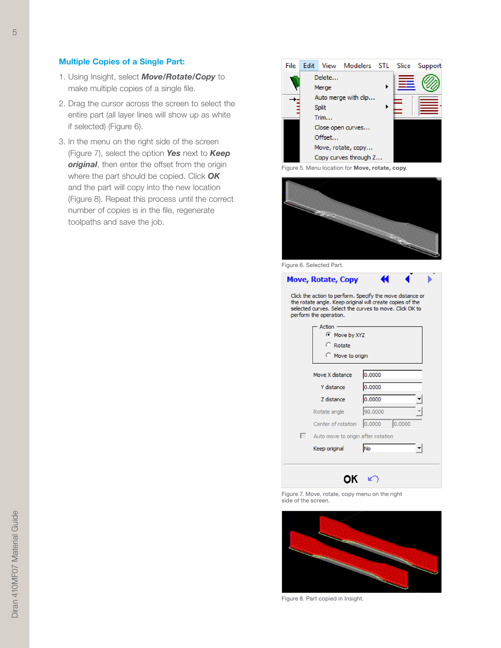## Multiple Copies of a Single Part:

- 1. Using Insight, select *Move/Rotate/Copy* to make multiple copies of a single file.
- 2. Drag the cursor across the screen to select the entire part (all layer lines will show up as white if selected) (Figure 6).
- 3. In the menu on the right side of the screen (Figure 7), select the option *Yes* next to *Keep*  **original**, then enter the offset from the origin where the part should be copied. Click *OK* and the part will copy into the new location (Figure 8). Repeat this process until the correct number of copies is in the file, regenerate toolpaths and save the job.



Figure 5. Menu location for Move, rotate, copy.



Figure 6. Selected Part.

| <b>Move, Rotate, Copy</b><br>Click the action to perform. Specify the move distance or<br>the rotate angle. Keep original will create copies of the<br>selected curves. Select the curves to move. Click OK to<br>perform the operation. |                                                          |                  |  |  |  |  |  |  |  |
|------------------------------------------------------------------------------------------------------------------------------------------------------------------------------------------------------------------------------------------|----------------------------------------------------------|------------------|--|--|--|--|--|--|--|
|                                                                                                                                                                                                                                          | Action<br><b>Move by XYZ</b><br>Rotate<br>Move to origin |                  |  |  |  |  |  |  |  |
|                                                                                                                                                                                                                                          | 0.0000<br>Move X distance                                |                  |  |  |  |  |  |  |  |
|                                                                                                                                                                                                                                          | Y distance                                               | 0.0000           |  |  |  |  |  |  |  |
|                                                                                                                                                                                                                                          | Z distance                                               | 0.0000           |  |  |  |  |  |  |  |
|                                                                                                                                                                                                                                          | Rotate angle                                             | 90.0000          |  |  |  |  |  |  |  |
|                                                                                                                                                                                                                                          | Center of rotation                                       | 0.0000<br>0.0000 |  |  |  |  |  |  |  |
| П                                                                                                                                                                                                                                        | Auto move to origin after rotation                       |                  |  |  |  |  |  |  |  |
|                                                                                                                                                                                                                                          | Keep original                                            | <b>No</b>        |  |  |  |  |  |  |  |
|                                                                                                                                                                                                                                          |                                                          |                  |  |  |  |  |  |  |  |

Figure 7. Move, rotate, copy menu on the right side of the screen.



Figure 8. Part copied in Insight.